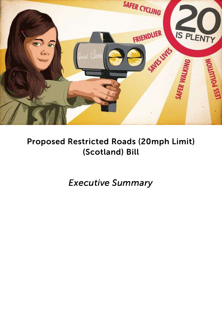

# Proposed Restricted Roads (20mph Limit) (Scotland) Bill

Executive Summary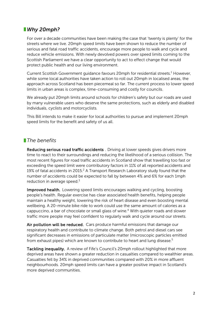## ■Why 20mph?

For over a decade communities have been making the case that 'twenty is plenty' for the streets where we live. 20mph speed limits have been shown to reduce the number of serious and fatal road traffic accidents, encourage more people to walk and cycle and reduce vehicle emissions. With newly devolved powers over speed limits coming to the Scottish Parliament we have a clear opportunity to act to effect change that would protect public health and our living environment.

Current Scottish Government guidance favours 20mph for residential streets.<sup>1</sup> However, while some local authorities have taken action to roll out 20mph in localised areas, the approach across Scotland has been piecemeal so far. The current process to lower speed limits in urban areas is complex, time-consuming and costly for councils.

We already put 20mph limits around schools for children's safety but our roads are used by many vulnerable users who deserve the same protections, such as elderly and disabled individuals, cyclists and motorcyclists.

This Bill intends to make it easier for local authorities to pursue and implement 20mph speed limits for the benefit and safety of us all.

#### **The benefits**

**Reducing serious road traffic accidents** . Driving at lower speeds gives drivers more time to react to their surroundings and reducing the likelihood of a serious collision. The most recent figures for road traffic accidents in Scotland show that travelling too fast or exceeding the speed limit were contributory factors in 11% of all reported accidents and 19% of fatal accidents in 2015.<sup>2</sup> A Transport Research Laboratory study found that the number of accidents could be expected to fall by between 4% and 6% for each 1mph reduction in average speed. $3$ 

Improved health. Lowering speed limits encourages walking and cycling, boosting people's health. Regular exercise has clear associated health benefits, helping people maintain a healthy weight, lowering the risk of heart disease and even boosting mental wellbeing. A 20-minute bike ride to work could use the same amount of calories as a cappuccino, a bar of chocolate or small glass of wine.<sup>4</sup> With quieter roads and slower traffic more people may feel confident to regularly walk and cycle around our streets.

Air pollution will be reduced. Cars produce harmful emissions that damage our respiratory health and contribute to climate change. Both petrol and diesel cars see significant decreases in emissions of particulate matter (microscopic particles emitted from exhaust pipes) which are known to contribute to heart and lung disease.<sup>5</sup>

**Tackling inequality.** A review of Fife's Council's 20mph rollout highlighted that more deprived areas have shown a greater reduction in casualties compared to wealthier areas. Casualties fell by 34% in deprived communities compared with 20% in more affluent neighbourhoods. 20mph speed limits can have a greater positive impact in Scotland's more deprived communities.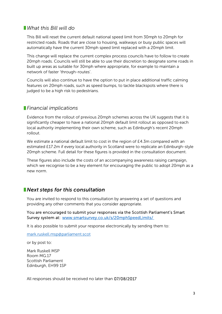#### What this Bill will do

This Bill will reset the current default national speed limit from 30mph to 20mph for restricted roads. Roads that are close to housing, walkways or busy public spaces will automatically have the current 30mph speed limit replaced with a 20mph limit.

This change will replace the current complex process councils have to follow to create 20mph roads. Councils will still be able to use their discretion to designate some roads in built up areas as suitable for 30mph where appropriate, for example to maintain a network of faster 'through-routes'.

Councils will also continue to have the option to put in place additional traffic calming features on 20mph roads, such as speed bumps, to tackle blackspots where there is judged to be a high risk to pedestrians.

#### **Financial implications**

Evidence from the rollout of previous 20mph schemes across the UK suggests that it is significantly cheaper to have a national 20mph default limit rollout as opposed to each local authority implementing their own scheme, such as Edinburgh's recent 20mph rollout.

We estimate a national default limit to cost in the region of £4.3m compared with an estimated £17.2m if every local authority in Scotland were to replicate an Edinburgh-style 20mph scheme. Full detail for these figures is provided in the consultation document.

These figures also include the costs of an accompanying awareness raising campaign, which we recognise to be a key element for encouraging the public to adopt 20mph as a new norm.

### **Next steps for this consultation**

You are invited to respond to this consultation by answering a set of questions and providing any other comments that you consider appropriate.

You are encouraged to submit your responses via the Scottish Parliament's Smart Survey system at: www.smartsurvey.co.uk/s/20mphSpeedLimits/

It is also possible to submit your response electronically by sending them to:

mark.ruskell.msp@parliament.scot

or by post to:

Mark Ruskell MSP Room MG.17 Scottish Parliament Edinburgh, EH99 1SP

All responses should be received no later than 07/08/2017